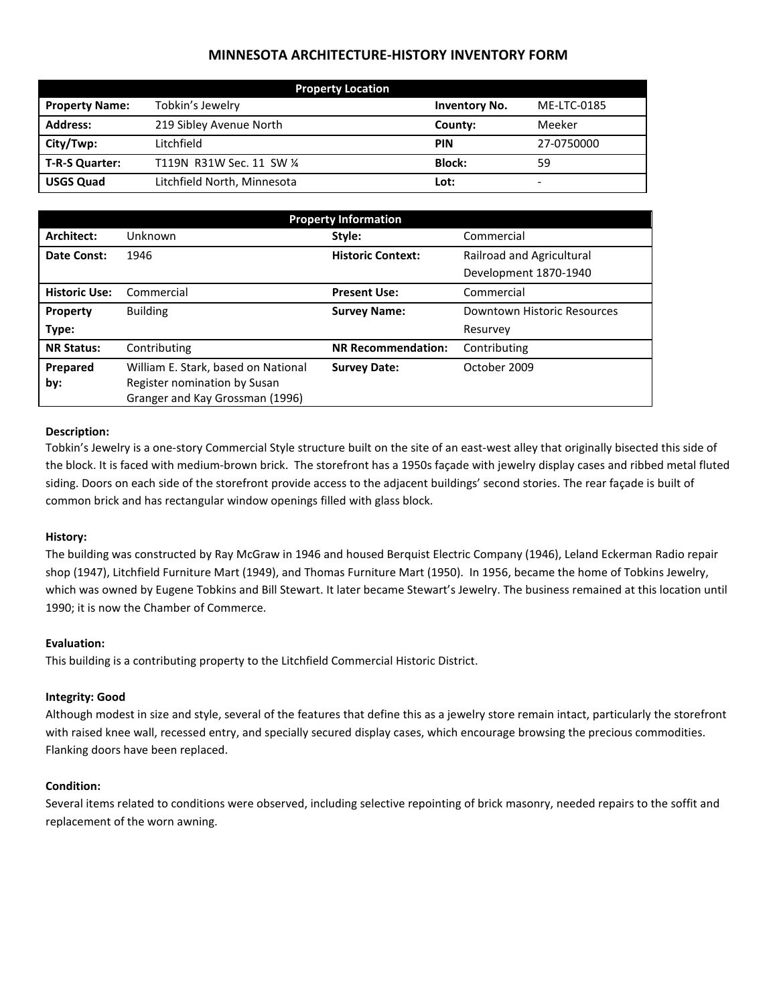# **MINNESOTA ARCHITECTURE-HISTORY INVENTORY FORM**

| <b>Property Location</b> |                             |                      |                          |  |
|--------------------------|-----------------------------|----------------------|--------------------------|--|
| <b>Property Name:</b>    | Tobkin's Jewelry            | <b>Inventory No.</b> | ME-LTC-0185              |  |
| <b>Address:</b>          | 219 Sibley Avenue North     | County:              | Meeker                   |  |
| City/Twp:                | Litchfield                  | <b>PIN</b>           | 27-0750000               |  |
| T-R-S Quarter:           | T119N R31W Sec. 11 SW 1/4   | <b>Block:</b>        | 59                       |  |
| <b>USGS Quad</b>         | Litchfield North, Minnesota | Lot:                 | $\overline{\phantom{0}}$ |  |

| <b>Property Information</b> |                                                                 |                           |                             |  |
|-----------------------------|-----------------------------------------------------------------|---------------------------|-----------------------------|--|
| Architect:                  | Unknown                                                         | Style:                    | Commercial                  |  |
| Date Const:                 | 1946                                                            | <b>Historic Context:</b>  | Railroad and Agricultural   |  |
|                             |                                                                 |                           | Development 1870-1940       |  |
| <b>Historic Use:</b>        | Commercial                                                      | <b>Present Use:</b>       | Commercial                  |  |
| Property                    | <b>Building</b>                                                 | <b>Survey Name:</b>       | Downtown Historic Resources |  |
| Type:                       |                                                                 |                           | Resurvey                    |  |
| <b>NR Status:</b>           | Contributing                                                    | <b>NR Recommendation:</b> | Contributing                |  |
| Prepared                    | William E. Stark, based on National                             | <b>Survey Date:</b>       | October 2009                |  |
| by:                         | Register nomination by Susan<br>Granger and Kay Grossman (1996) |                           |                             |  |
|                             |                                                                 |                           |                             |  |

### **Description:**

Tobkin's Jewelry is a one-story Commercial Style structure built on the site of an east-west alley that originally bisected this side of the block. It is faced with medium-brown brick. The storefront has a 1950s façade with jewelry display cases and ribbed metal fluted siding. Doors on each side of the storefront provide access to the adjacent buildings' second stories. The rear façade is built of common brick and has rectangular window openings filled with glass block.

#### **History:**

The building was constructed by Ray McGraw in 1946 and housed Berquist Electric Company (1946), Leland Eckerman Radio repair shop (1947), Litchfield Furniture Mart (1949), and Thomas Furniture Mart (1950). In 1956, became the home of Tobkins Jewelry, which was owned by Eugene Tobkins and Bill Stewart. It later became Stewart's Jewelry. The business remained at this location until 1990; it is now the Chamber of Commerce.

#### **Evaluation:**

This building is a contributing property to the Litchfield Commercial Historic District.

#### **Integrity: Good**

Although modest in size and style, several of the features that define this as a jewelry store remain intact, particularly the storefront with raised knee wall, recessed entry, and specially secured display cases, which encourage browsing the precious commodities. Flanking doors have been replaced.

## **Condition:**

Several items related to conditions were observed, including selective repointing of brick masonry, needed repairs to the soffit and replacement of the worn awning.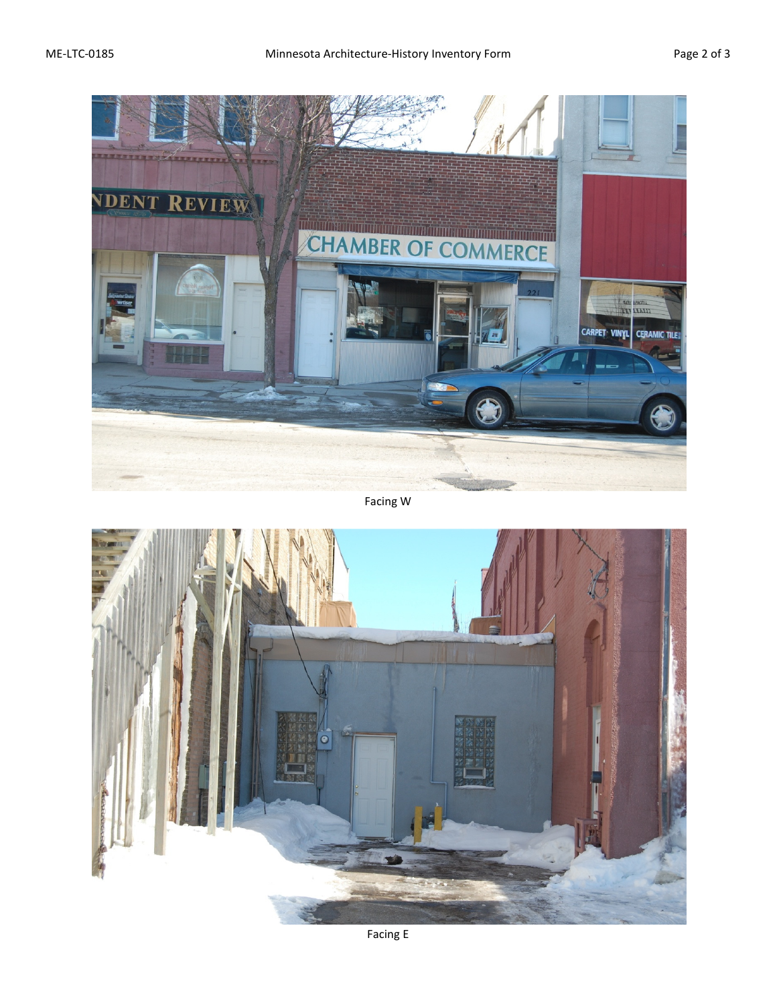

Facing W



Facing E